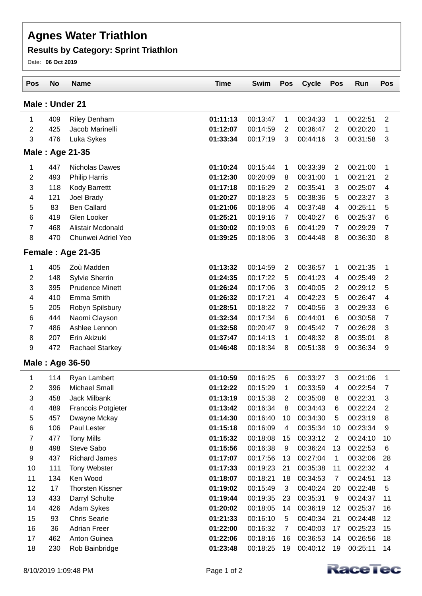## **Agnes Water Triathlon**

## **Results by Category: Sprint Triathlon**

Date: **06 Oct 2019**

| Male: Under 21<br>1<br>409<br><b>Riley Denham</b><br>01:11:13<br>00:13:47<br>1<br>00:34:33<br>1<br>00:22:51<br>2<br>425<br>Jacob Marinelli<br>01:12:07<br>00:14:59<br>$\overline{2}$<br>00:36:47<br>2<br>00:20:20<br>3<br>476<br>3<br>Luka Sykes<br>01:33:34<br>00:17:19<br>00:44:16<br>3<br>00:31:58<br>Male: Age 21-35<br>01:10:24<br>447<br>Nicholas Dawes<br>00:15:44<br>1<br>00:33:39<br>2<br>00:21:00<br>1 | $\overline{2}$<br>1<br>3<br>1<br>2<br>4<br>3<br>5 |  |  |  |  |  |  |  |  |  |  |
|------------------------------------------------------------------------------------------------------------------------------------------------------------------------------------------------------------------------------------------------------------------------------------------------------------------------------------------------------------------------------------------------------------------|---------------------------------------------------|--|--|--|--|--|--|--|--|--|--|
|                                                                                                                                                                                                                                                                                                                                                                                                                  |                                                   |  |  |  |  |  |  |  |  |  |  |
|                                                                                                                                                                                                                                                                                                                                                                                                                  |                                                   |  |  |  |  |  |  |  |  |  |  |
|                                                                                                                                                                                                                                                                                                                                                                                                                  |                                                   |  |  |  |  |  |  |  |  |  |  |
|                                                                                                                                                                                                                                                                                                                                                                                                                  |                                                   |  |  |  |  |  |  |  |  |  |  |
|                                                                                                                                                                                                                                                                                                                                                                                                                  |                                                   |  |  |  |  |  |  |  |  |  |  |
|                                                                                                                                                                                                                                                                                                                                                                                                                  |                                                   |  |  |  |  |  |  |  |  |  |  |
| 2<br>493<br>01:12:30<br>00:20:09<br>00:31:00<br>00:21:21<br><b>Philip Harris</b><br>8<br>1                                                                                                                                                                                                                                                                                                                       |                                                   |  |  |  |  |  |  |  |  |  |  |
| 3<br>118<br>01:17:18<br>00:16:29<br>$\overline{2}$<br>00:35:41<br>3<br><b>Kody Barrettt</b><br>00:25:07                                                                                                                                                                                                                                                                                                          |                                                   |  |  |  |  |  |  |  |  |  |  |
| 121<br>Joel Brady<br>01:20:27<br>00:18:23<br>5<br>00:38:36<br>5<br>00:23:27<br>4                                                                                                                                                                                                                                                                                                                                 |                                                   |  |  |  |  |  |  |  |  |  |  |
| <b>Ben Callard</b><br>5<br>83<br>00:25:11<br>01:21:06<br>00:18:06<br>4<br>00:37:48<br>4                                                                                                                                                                                                                                                                                                                          |                                                   |  |  |  |  |  |  |  |  |  |  |
| 6<br>Glen Looker<br>419<br>01:25:21<br>00:19:16<br>00:40:27<br>00:25:37<br>7<br>6                                                                                                                                                                                                                                                                                                                                | 6                                                 |  |  |  |  |  |  |  |  |  |  |
| 7<br>468<br>Alistair Mcdonald<br>01:30:02<br>$\overline{7}$<br>00:19:03<br>6<br>00:41:29<br>00:29:29                                                                                                                                                                                                                                                                                                             | $\overline{7}$                                    |  |  |  |  |  |  |  |  |  |  |
| 8<br>470<br>Chunwei Adriel Yeo<br>3<br>01:39:25<br>00:18:06<br>00:44:48<br>8<br>00:36:30                                                                                                                                                                                                                                                                                                                         | 8                                                 |  |  |  |  |  |  |  |  |  |  |
| Female: Age 21-35                                                                                                                                                                                                                                                                                                                                                                                                |                                                   |  |  |  |  |  |  |  |  |  |  |
| 405<br>01:13:32<br>$\overline{2}$<br>1<br>Zoù Madden<br>00:14:59<br>00:36:57<br>1<br>00:21:35                                                                                                                                                                                                                                                                                                                    | 1                                                 |  |  |  |  |  |  |  |  |  |  |
| 2<br>148<br>00:17:22<br>5<br><b>Sylvie Sherrin</b><br>01:24:35<br>00:41:23<br>00:25:49<br>4                                                                                                                                                                                                                                                                                                                      | 2                                                 |  |  |  |  |  |  |  |  |  |  |
| 3<br>395<br><b>Prudence Minett</b><br>01:26:24<br>00:17:06<br>00:40:05<br>00:29:12<br>3<br>2                                                                                                                                                                                                                                                                                                                     | 5                                                 |  |  |  |  |  |  |  |  |  |  |
| 4<br>410<br>Emma Smith<br>01:26:32<br>00:42:23<br>5<br>00:17:21<br>4<br>00:26:47                                                                                                                                                                                                                                                                                                                                 | 4                                                 |  |  |  |  |  |  |  |  |  |  |
| 5<br>205<br>Robyn Spilsbury<br>01:28:51<br>00:18:22<br>3<br>7<br>00:40:56<br>00:29:33                                                                                                                                                                                                                                                                                                                            | 6                                                 |  |  |  |  |  |  |  |  |  |  |
| 6<br>01:32:34<br>444<br>Naomi Clayson<br>00:17:34<br>00:44:01<br>6<br>00:30:58<br>6                                                                                                                                                                                                                                                                                                                              | $\overline{7}$                                    |  |  |  |  |  |  |  |  |  |  |
| 7<br>486<br>Ashlee Lennon<br>01:32:58<br>00:20:47<br>00:45:42<br>$\overline{7}$<br>00:26:28<br>9                                                                                                                                                                                                                                                                                                                 | 3                                                 |  |  |  |  |  |  |  |  |  |  |
| 8<br>207<br>Erin Akizuki<br>01:37:47<br>00:14:13<br>00:35:01<br>1<br>00:48:32<br>8                                                                                                                                                                                                                                                                                                                               | 8                                                 |  |  |  |  |  |  |  |  |  |  |
| 9<br>472<br>01:46:48<br><b>Rachael Starkey</b><br>00:18:34<br>8<br>00:51:38<br>9<br>00:36:34                                                                                                                                                                                                                                                                                                                     | 9                                                 |  |  |  |  |  |  |  |  |  |  |
| Male: Age 36-50                                                                                                                                                                                                                                                                                                                                                                                                  |                                                   |  |  |  |  |  |  |  |  |  |  |
| 01:10:59<br>00:33:27<br>00:21:06<br>1<br>114<br>Ryan Lambert<br>00:16:25<br>6<br>3                                                                                                                                                                                                                                                                                                                               | 1                                                 |  |  |  |  |  |  |  |  |  |  |
| 396<br>2<br>Michael Small<br>01:12:22<br>00:15:29<br>00:33:59<br>00:22:54<br>1<br>4                                                                                                                                                                                                                                                                                                                              | 7                                                 |  |  |  |  |  |  |  |  |  |  |
| 3<br>01:13:19<br>458<br><b>Jack Milbank</b><br>00:15:38<br>$\overline{2}$<br>00:35:08<br>00:22:31<br>8                                                                                                                                                                                                                                                                                                           | 3                                                 |  |  |  |  |  |  |  |  |  |  |
| 4<br>489<br>Francois Potgieter<br>01:13:42<br>00:16:34<br>00:34:43<br>8<br>6<br>00:22:24                                                                                                                                                                                                                                                                                                                         | $\mathbf{2}$                                      |  |  |  |  |  |  |  |  |  |  |
| 5<br>01:14:30<br>00:16:40<br>00:34:30<br>457<br>Dwayne Mckay<br>10<br>5<br>00:23:19                                                                                                                                                                                                                                                                                                                              | 8                                                 |  |  |  |  |  |  |  |  |  |  |
| 6<br>Paul Lester<br>01:15:18<br>00:16:09<br>106<br>$\overline{4}$<br>00:35:34<br>10<br>00:23:34                                                                                                                                                                                                                                                                                                                  | 9                                                 |  |  |  |  |  |  |  |  |  |  |
| $\overline{7}$<br><b>Tony Mills</b><br>01:15:32<br>00:33:12<br>477<br>00:18:08<br>$\overline{2}$<br>00:24:10<br>15                                                                                                                                                                                                                                                                                               | 10                                                |  |  |  |  |  |  |  |  |  |  |
| 8<br>Steve Sabo<br>01:15:56<br>498<br>00:16:38<br>00:36:24<br>13<br>00:22:53<br>9                                                                                                                                                                                                                                                                                                                                | 6                                                 |  |  |  |  |  |  |  |  |  |  |
| 9<br><b>Richard James</b><br>437<br>01:17:07<br>00:17:56<br>13<br>00:27:04<br>1<br>00:32:06                                                                                                                                                                                                                                                                                                                      | 28                                                |  |  |  |  |  |  |  |  |  |  |
| 10<br>00:22:32<br>111<br>Tony Webster<br>01:17:33<br>00:19:23<br>21<br>00:35:38<br>11                                                                                                                                                                                                                                                                                                                            | $\overline{\mathbf{4}}$                           |  |  |  |  |  |  |  |  |  |  |
| 11<br>134<br>Ken Wood<br>01:18:07<br>00:18:21<br>18<br>00:34:53<br>$\overline{7}$<br>00:24:51                                                                                                                                                                                                                                                                                                                    | 13                                                |  |  |  |  |  |  |  |  |  |  |
| 12<br>17<br><b>Thorsten Kissner</b><br>01:19:02<br>00:15:49<br>$\sqrt{3}$<br>00:40:24<br>00:22:48<br>20                                                                                                                                                                                                                                                                                                          | 5                                                 |  |  |  |  |  |  |  |  |  |  |
| 13<br>01:19:44<br>433<br>Darryl Schulte<br>00:19:35<br>23<br>00:35:31<br>9<br>00:24:37                                                                                                                                                                                                                                                                                                                           | 11                                                |  |  |  |  |  |  |  |  |  |  |
| 14<br>426<br>Adam Sykes<br>01:20:02<br>00:18:05<br>14<br>00:36:19<br>12<br>00:25:37                                                                                                                                                                                                                                                                                                                              | 16                                                |  |  |  |  |  |  |  |  |  |  |
| 15<br>93<br><b>Chris Searle</b><br>01:21:33<br>00:16:10<br>5<br>00:40:34<br>21<br>00:24:48                                                                                                                                                                                                                                                                                                                       | 12                                                |  |  |  |  |  |  |  |  |  |  |
| 16<br>36<br><b>Adrian Freer</b><br>01:22:00<br>00:16:32<br>00:40:03<br>00:25:23<br>7<br>17                                                                                                                                                                                                                                                                                                                       | 15                                                |  |  |  |  |  |  |  |  |  |  |
| 17<br>462<br>Anton Guinea<br>01:22:06<br>00:18:16<br>00:36:53<br>00:26:56<br>16<br>14                                                                                                                                                                                                                                                                                                                            | 18                                                |  |  |  |  |  |  |  |  |  |  |
| 18<br>230<br>01:23:48<br>Rob Bainbridge<br>00:18:25<br>19<br>00:40:12<br>19<br>00:25:11<br>14                                                                                                                                                                                                                                                                                                                    |                                                   |  |  |  |  |  |  |  |  |  |  |